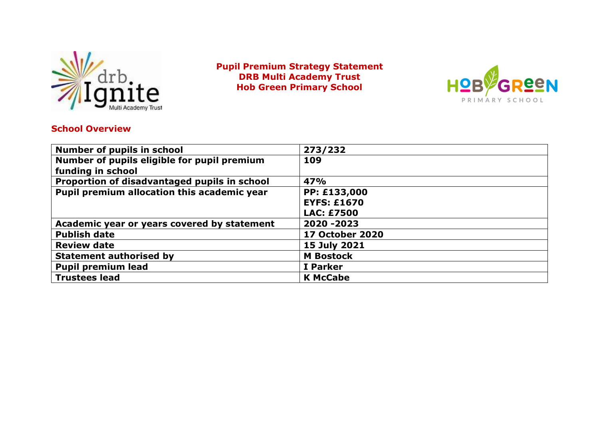

**Pupil Premium Strategy Statement DRB Multi Academy Trust Hob Green Primary School**



### **School Overview**

| Number of pupils in school                   | 273/232                |
|----------------------------------------------|------------------------|
| Number of pupils eligible for pupil premium  | 109                    |
| funding in school                            |                        |
| Proportion of disadvantaged pupils in school | 47%                    |
| Pupil premium allocation this academic year  | PP: £133,000           |
|                                              | <b>EYFS: £1670</b>     |
|                                              | <b>LAC: £7500</b>      |
| Academic year or years covered by statement  | 2020 - 2023            |
| <b>Publish date</b>                          | <b>17 October 2020</b> |
| <b>Review date</b>                           | 15 July 2021           |
| <b>Statement authorised by</b>               | <b>M</b> Bostock       |
| <b>Pupil premium lead</b>                    | I Parker               |
| <b>Trustees lead</b>                         | <b>K McCabe</b>        |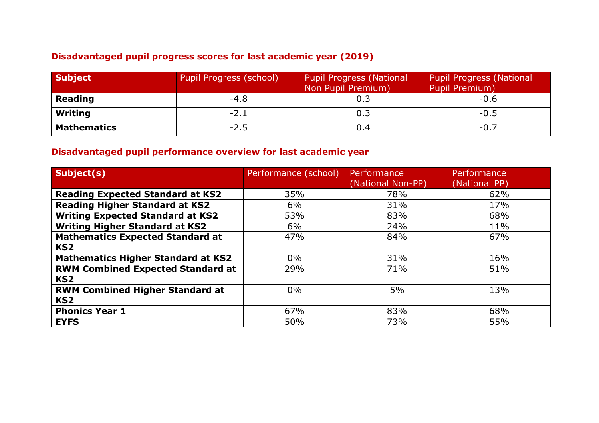## **Disadvantaged pupil progress scores for last academic year (2019)**

| <b>Subject</b>     | Pupil Progress (school) | <b>Pupil Progress (National</b><br>Non Pupil Premium) | <b>Pupil Progress (National</b><br>Pupil Premium) |
|--------------------|-------------------------|-------------------------------------------------------|---------------------------------------------------|
| <b>Reading</b>     | $-4.8$                  | 0.3                                                   | $-0.6$                                            |
| Writing            | $-2.1$                  | 0.3                                                   | $-0.5$                                            |
| <b>Mathematics</b> | $-2.5$                  | 0.4                                                   | $-0.7$                                            |

### **Disadvantaged pupil performance overview for last academic year**

| Subject(s)                                | Performance (school) | Performance       | Performance   |
|-------------------------------------------|----------------------|-------------------|---------------|
|                                           |                      | (National Non-PP) | (National PP) |
| <b>Reading Expected Standard at KS2</b>   | 35%                  | 78%               | 62%           |
| <b>Reading Higher Standard at KS2</b>     | 6%                   | 31%               | 17%           |
| <b>Writing Expected Standard at KS2</b>   | 53%                  | 83%               | 68%           |
| <b>Writing Higher Standard at KS2</b>     | 6%                   | 24%               | 11%           |
| <b>Mathematics Expected Standard at</b>   | 47%                  | 84%               | 67%           |
| KS <sub>2</sub>                           |                      |                   |               |
| <b>Mathematics Higher Standard at KS2</b> | $0\%$                | 31%               | 16%           |
| <b>RWM Combined Expected Standard at</b>  | 29%                  | 71%               | 51%           |
| KS <sub>2</sub>                           |                      |                   |               |
| <b>RWM Combined Higher Standard at</b>    | 0%                   | 5%                | 13%           |
| KS <sub>2</sub>                           |                      |                   |               |
| <b>Phonics Year 1</b>                     | 67%                  | 83%               | 68%           |
| <b>EYFS</b>                               | 50%                  | 73%               | 55%           |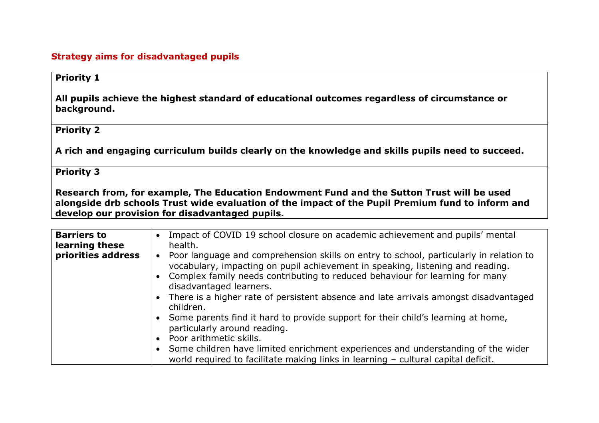### **Strategy aims for disadvantaged pupils**

### **Priority 1**

**All pupils achieve the highest standard of educational outcomes regardless of circumstance or background.** 

#### **Priority 2**

**A rich and engaging curriculum builds clearly on the knowledge and skills pupils need to succeed.** 

#### **Priority 3**

**Research from, for example, The Education Endowment Fund and the Sutton Trust will be used alongside drb schools Trust wide evaluation of the impact of the Pupil Premium fund to inform and develop our provision for disadvantaged pupils.**

| <b>Barriers to</b> | Impact of COVID 19 school closure on academic achievement and pupils' mental<br>$\bullet$                                                                                                                                                                                                                                                                                     |
|--------------------|-------------------------------------------------------------------------------------------------------------------------------------------------------------------------------------------------------------------------------------------------------------------------------------------------------------------------------------------------------------------------------|
| learning these     | health.                                                                                                                                                                                                                                                                                                                                                                       |
| priorities address | Poor language and comprehension skills on entry to school, particularly in relation to<br>vocabulary, impacting on pupil achievement in speaking, listening and reading.<br>• Complex family needs contributing to reduced behaviour for learning for many<br>disadvantaged learners.<br>There is a higher rate of persistent absence and late arrivals amongst disadvantaged |
|                    | children.                                                                                                                                                                                                                                                                                                                                                                     |
|                    | • Some parents find it hard to provide support for their child's learning at home,<br>particularly around reading.                                                                                                                                                                                                                                                            |
|                    | Poor arithmetic skills.                                                                                                                                                                                                                                                                                                                                                       |
|                    | • Some children have limited enrichment experiences and understanding of the wider<br>world required to facilitate making links in learning - cultural capital deficit.                                                                                                                                                                                                       |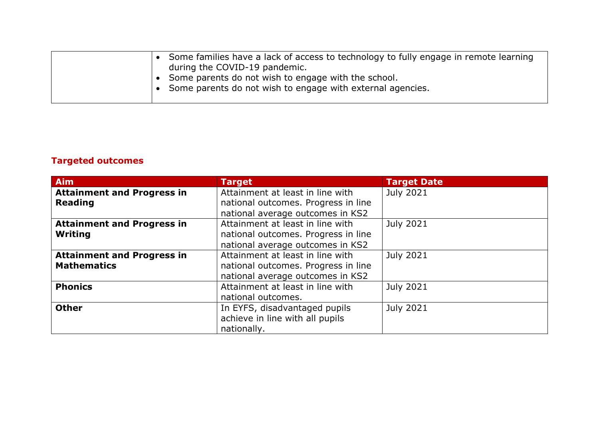| • Some families have a lack of access to technology to fully engage in remote learning |
|----------------------------------------------------------------------------------------|
| during the COVID-19 pandemic.                                                          |
| • Some parents do not wish to engage with the school.                                  |
| • Some parents do not wish to engage with external agencies.                           |
|                                                                                        |

## **Targeted outcomes**

| <b>Aim</b>                                          | <b>Target</b>                                                                                               | <b>Target Date</b> |
|-----------------------------------------------------|-------------------------------------------------------------------------------------------------------------|--------------------|
| <b>Attainment and Progress in</b><br><b>Reading</b> | Attainment at least in line with<br>national outcomes. Progress in line<br>national average outcomes in KS2 | <b>July 2021</b>   |
| <b>Attainment and Progress in</b>                   | Attainment at least in line with                                                                            | <b>July 2021</b>   |
| Writing                                             | national outcomes. Progress in line                                                                         |                    |
|                                                     | national average outcomes in KS2                                                                            |                    |
| <b>Attainment and Progress in</b>                   | Attainment at least in line with                                                                            | <b>July 2021</b>   |
| <b>Mathematics</b>                                  | national outcomes. Progress in line                                                                         |                    |
|                                                     | national average outcomes in KS2                                                                            |                    |
| <b>Phonics</b>                                      | Attainment at least in line with                                                                            | <b>July 2021</b>   |
|                                                     | national outcomes.                                                                                          |                    |
| <b>Other</b>                                        | In EYFS, disadvantaged pupils                                                                               | <b>July 2021</b>   |
|                                                     | achieve in line with all pupils                                                                             |                    |
|                                                     | nationally.                                                                                                 |                    |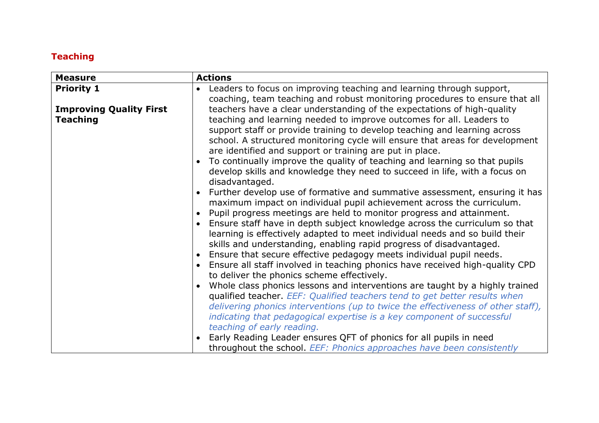## **Teaching**

| <b>Measure</b>                 | <b>Actions</b>                                                                                                                                                                                                                                                                                                                                                                                                                                                                                                                                                                                                                                                                                                                                                                                                                                                                                                                                 |
|--------------------------------|------------------------------------------------------------------------------------------------------------------------------------------------------------------------------------------------------------------------------------------------------------------------------------------------------------------------------------------------------------------------------------------------------------------------------------------------------------------------------------------------------------------------------------------------------------------------------------------------------------------------------------------------------------------------------------------------------------------------------------------------------------------------------------------------------------------------------------------------------------------------------------------------------------------------------------------------|
| <b>Priority 1</b>              | Leaders to focus on improving teaching and learning through support,<br>coaching, team teaching and robust monitoring procedures to ensure that all                                                                                                                                                                                                                                                                                                                                                                                                                                                                                                                                                                                                                                                                                                                                                                                            |
| <b>Improving Quality First</b> | teachers have a clear understanding of the expectations of high-quality                                                                                                                                                                                                                                                                                                                                                                                                                                                                                                                                                                                                                                                                                                                                                                                                                                                                        |
| <b>Teaching</b>                | teaching and learning needed to improve outcomes for all. Leaders to<br>support staff or provide training to develop teaching and learning across<br>school. A structured monitoring cycle will ensure that areas for development<br>are identified and support or training are put in place.<br>To continually improve the quality of teaching and learning so that pupils<br>develop skills and knowledge they need to succeed in life, with a focus on<br>disadvantaged.<br>Further develop use of formative and summative assessment, ensuring it has<br>maximum impact on individual pupil achievement across the curriculum.<br>Pupil progress meetings are held to monitor progress and attainment.<br>Ensure staff have in depth subject knowledge across the curriculum so that<br>learning is effectively adapted to meet individual needs and so build their<br>skills and understanding, enabling rapid progress of disadvantaged. |
|                                | Ensure that secure effective pedagogy meets individual pupil needs.<br>$\bullet$<br>Ensure all staff involved in teaching phonics have received high-quality CPD                                                                                                                                                                                                                                                                                                                                                                                                                                                                                                                                                                                                                                                                                                                                                                               |
|                                | to deliver the phonics scheme effectively.                                                                                                                                                                                                                                                                                                                                                                                                                                                                                                                                                                                                                                                                                                                                                                                                                                                                                                     |
|                                | Whole class phonics lessons and interventions are taught by a highly trained<br>qualified teacher. EEF: Qualified teachers tend to get better results when                                                                                                                                                                                                                                                                                                                                                                                                                                                                                                                                                                                                                                                                                                                                                                                     |
|                                | delivering phonics interventions (up to twice the effectiveness of other staff),                                                                                                                                                                                                                                                                                                                                                                                                                                                                                                                                                                                                                                                                                                                                                                                                                                                               |
|                                | indicating that pedagogical expertise is a key component of successful<br>teaching of early reading.                                                                                                                                                                                                                                                                                                                                                                                                                                                                                                                                                                                                                                                                                                                                                                                                                                           |
|                                | Early Reading Leader ensures QFT of phonics for all pupils in need                                                                                                                                                                                                                                                                                                                                                                                                                                                                                                                                                                                                                                                                                                                                                                                                                                                                             |
|                                | throughout the school. EEF: Phonics approaches have been consistently                                                                                                                                                                                                                                                                                                                                                                                                                                                                                                                                                                                                                                                                                                                                                                                                                                                                          |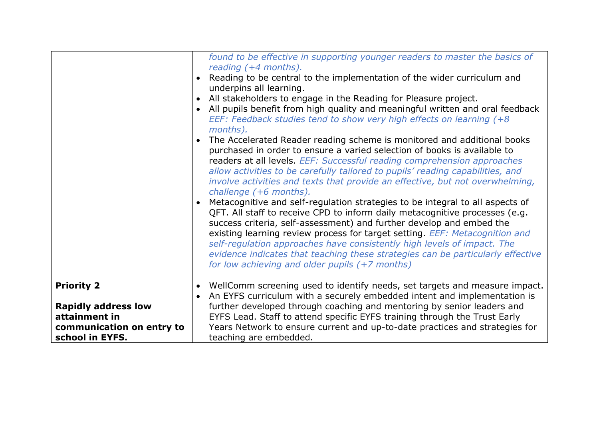|                                                                                                                  | found to be effective in supporting younger readers to master the basics of<br>reading (+4 months).<br>Reading to be central to the implementation of the wider curriculum and<br>underpins all learning.<br>All stakeholders to engage in the Reading for Pleasure project.<br>All pupils benefit from high quality and meaningful written and oral feedback<br>EEF: Feedback studies tend to show very high effects on learning (+8)<br>months).<br>The Accelerated Reader reading scheme is monitored and additional books<br>purchased in order to ensure a varied selection of books is available to<br>readers at all levels. EEF: Successful reading comprehension approaches<br>allow activities to be carefully tailored to pupils' reading capabilities, and<br>involve activities and texts that provide an effective, but not overwhelming,<br>challenge (+6 months).<br>Metacognitive and self-regulation strategies to be integral to all aspects of<br>QFT. All staff to receive CPD to inform daily metacognitive processes (e.g.<br>success criteria, self-assessment) and further develop and embed the<br>existing learning review process for target setting. EEF: Metacognition and<br>self-regulation approaches have consistently high levels of impact. The<br>evidence indicates that teaching these strategies can be particularly effective<br>for low achieving and older pupils (+7 months) |
|------------------------------------------------------------------------------------------------------------------|--------------------------------------------------------------------------------------------------------------------------------------------------------------------------------------------------------------------------------------------------------------------------------------------------------------------------------------------------------------------------------------------------------------------------------------------------------------------------------------------------------------------------------------------------------------------------------------------------------------------------------------------------------------------------------------------------------------------------------------------------------------------------------------------------------------------------------------------------------------------------------------------------------------------------------------------------------------------------------------------------------------------------------------------------------------------------------------------------------------------------------------------------------------------------------------------------------------------------------------------------------------------------------------------------------------------------------------------------------------------------------------------------------------------------|
| <b>Priority 2</b><br><b>Rapidly address low</b><br>attainment in<br>communication on entry to<br>school in EYFS. | WellComm screening used to identify needs, set targets and measure impact.<br>$\bullet$<br>An EYFS curriculum with a securely embedded intent and implementation is<br>further developed through coaching and mentoring by senior leaders and<br>EYFS Lead. Staff to attend specific EYFS training through the Trust Early<br>Years Network to ensure current and up-to-date practices and strategies for<br>teaching are embedded.                                                                                                                                                                                                                                                                                                                                                                                                                                                                                                                                                                                                                                                                                                                                                                                                                                                                                                                                                                                      |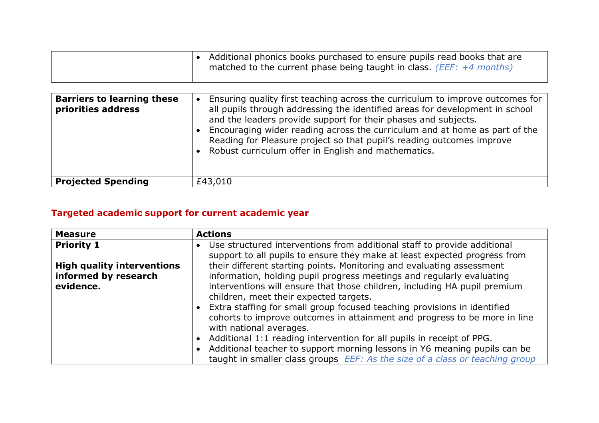|  | $\bullet$ Additional phonics books purchased to ensure pupils read books that are |  |
|--|-----------------------------------------------------------------------------------|--|
|  | matched to the current phase being taught in class. ( <i>EEF:</i> $+4$ months)    |  |
|  |                                                                                   |  |

| <b>Barriers to learning these</b><br>priorities address | Ensuring quality first teaching across the curriculum to improve outcomes for<br>all pupils through addressing the identified areas for development in school<br>and the leaders provide support for their phases and subjects.<br>Encouraging wider reading across the curriculum and at home as part of the<br>Reading for Pleasure project so that pupil's reading outcomes improve<br>• Robust curriculum offer in English and mathematics. |
|---------------------------------------------------------|-------------------------------------------------------------------------------------------------------------------------------------------------------------------------------------------------------------------------------------------------------------------------------------------------------------------------------------------------------------------------------------------------------------------------------------------------|
| <b>Projected Spending</b>                               | £43,010                                                                                                                                                                                                                                                                                                                                                                                                                                         |

# **Targeted academic support for current academic year**

| <b>Measure</b>                    | <b>Actions</b>                                                                                                                                        |
|-----------------------------------|-------------------------------------------------------------------------------------------------------------------------------------------------------|
| <b>Priority 1</b>                 | Use structured interventions from additional staff to provide additional<br>support to all pupils to ensure they make at least expected progress from |
| <b>High quality interventions</b> | their different starting points. Monitoring and evaluating assessment                                                                                 |
| informed by research              | information, holding pupil progress meetings and regularly evaluating                                                                                 |
| evidence.                         | interventions will ensure that those children, including HA pupil premium<br>children, meet their expected targets.                                   |
|                                   |                                                                                                                                                       |
|                                   | Extra staffing for small group focused teaching provisions in identified                                                                              |
|                                   | cohorts to improve outcomes in attainment and progress to be more in line                                                                             |
|                                   | with national averages.                                                                                                                               |
|                                   | Additional 1:1 reading intervention for all pupils in receipt of PPG.                                                                                 |
|                                   | Additional teacher to support morning lessons in Y6 meaning pupils can be                                                                             |
|                                   | taught in smaller class groups EEF: As the size of a class or teaching group                                                                          |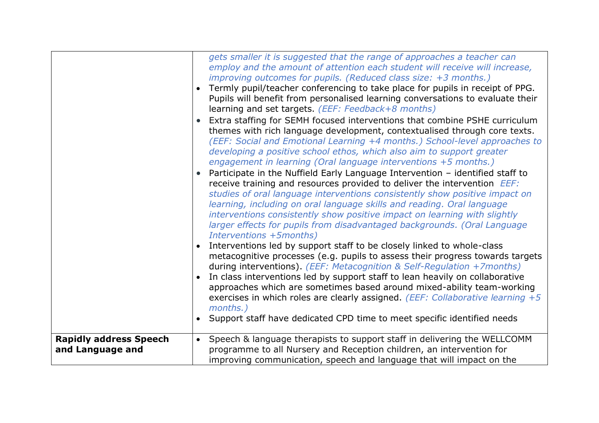|                                                   | gets smaller it is suggested that the range of approaches a teacher can<br>employ and the amount of attention each student will receive will increase,<br>improving outcomes for pupils. (Reduced class size: +3 months.)<br>Termly pupil/teacher conferencing to take place for pupils in receipt of PPG.<br>Pupils will benefit from personalised learning conversations to evaluate their<br>learning and set targets. (EEF: Feedback+8 months)<br>Extra staffing for SEMH focused interventions that combine PSHE curriculum<br>themes with rich language development, contextualised through core texts.<br>(EEF: Social and Emotional Learning +4 months.) School-level approaches to<br>developing a positive school ethos, which also aim to support greater<br>engagement in learning (Oral language interventions +5 months.)<br>Participate in the Nuffield Early Language Intervention - identified staff to<br>receive training and resources provided to deliver the intervention <i>EEF:</i><br>studies of oral language interventions consistently show positive impact on<br>learning, including on oral language skills and reading. Oral language<br>interventions consistently show positive impact on learning with slightly<br>larger effects for pupils from disadvantaged backgrounds. (Oral Language<br>Interventions +5months)<br>Interventions led by support staff to be closely linked to whole-class<br>metacognitive processes (e.g. pupils to assess their progress towards targets<br>during interventions). (EEF: Metacognition & Self-Regulation +7months)<br>In class interventions led by support staff to lean heavily on collaborative<br>approaches which are sometimes based around mixed-ability team-working<br>exercises in which roles are clearly assigned. ( <i>EEF: Collaborative learning</i> $+5$<br>months.)<br>Support staff have dedicated CPD time to meet specific identified needs |
|---------------------------------------------------|--------------------------------------------------------------------------------------------------------------------------------------------------------------------------------------------------------------------------------------------------------------------------------------------------------------------------------------------------------------------------------------------------------------------------------------------------------------------------------------------------------------------------------------------------------------------------------------------------------------------------------------------------------------------------------------------------------------------------------------------------------------------------------------------------------------------------------------------------------------------------------------------------------------------------------------------------------------------------------------------------------------------------------------------------------------------------------------------------------------------------------------------------------------------------------------------------------------------------------------------------------------------------------------------------------------------------------------------------------------------------------------------------------------------------------------------------------------------------------------------------------------------------------------------------------------------------------------------------------------------------------------------------------------------------------------------------------------------------------------------------------------------------------------------------------------------------------------------------------------------------------------------------------------------------------------------|
| <b>Rapidly address Speech</b><br>and Language and | Speech & language therapists to support staff in delivering the WELLCOMM<br>$\bullet$<br>programme to all Nursery and Reception children, an intervention for<br>improving communication, speech and language that will impact on the                                                                                                                                                                                                                                                                                                                                                                                                                                                                                                                                                                                                                                                                                                                                                                                                                                                                                                                                                                                                                                                                                                                                                                                                                                                                                                                                                                                                                                                                                                                                                                                                                                                                                                      |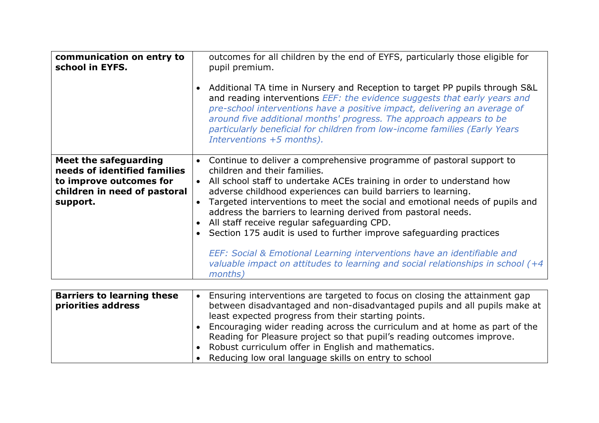| communication on entry to<br>school in EYFS.                                                                                 | outcomes for all children by the end of EYFS, particularly those eligible for<br>pupil premium.<br>Additional TA time in Nursery and Reception to target PP pupils through S&L<br>and reading interventions EEF: the evidence suggests that early years and<br>pre-school interventions have a positive impact, delivering an average of<br>around five additional months' progress. The approach appears to be<br>particularly beneficial for children from low-income families (Early Years<br>Interventions +5 months).                                                                                                                                                                                               |  |
|------------------------------------------------------------------------------------------------------------------------------|--------------------------------------------------------------------------------------------------------------------------------------------------------------------------------------------------------------------------------------------------------------------------------------------------------------------------------------------------------------------------------------------------------------------------------------------------------------------------------------------------------------------------------------------------------------------------------------------------------------------------------------------------------------------------------------------------------------------------|--|
| Meet the safeguarding<br>needs of identified families<br>to improve outcomes for<br>children in need of pastoral<br>support. | Continue to deliver a comprehensive programme of pastoral support to<br>$\bullet$<br>children and their families.<br>All school staff to undertake ACEs training in order to understand how<br>$\bullet$<br>adverse childhood experiences can build barriers to learning.<br>Targeted interventions to meet the social and emotional needs of pupils and<br>address the barriers to learning derived from pastoral needs.<br>All staff receive regular safeguarding CPD.<br>Section 175 audit is used to further improve safeguarding practices<br>EEF: Social & Emotional Learning interventions have an identifiable and<br>valuable impact on attitudes to learning and social relationships in school (+4<br>months) |  |

| <b>Barriers to learning these</b><br>priorities address | Ensuring interventions are targeted to focus on closing the attainment gap<br>between disadvantaged and non-disadvantaged pupils and all pupils make at<br>least expected progress from their starting points.<br>Encouraging wider reading across the curriculum and at home as part of the<br>Reading for Pleasure project so that pupil's reading outcomes improve.<br>Robust curriculum offer in English and mathematics. |
|---------------------------------------------------------|-------------------------------------------------------------------------------------------------------------------------------------------------------------------------------------------------------------------------------------------------------------------------------------------------------------------------------------------------------------------------------------------------------------------------------|
|                                                         | Reducing low oral language skills on entry to school                                                                                                                                                                                                                                                                                                                                                                          |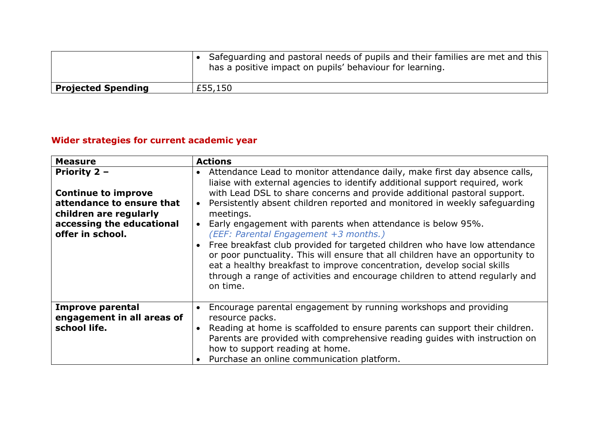|                           | • Safeguarding and pastoral needs of pupils and their families are met and this<br>has a positive impact on pupils' behaviour for learning. |
|---------------------------|---------------------------------------------------------------------------------------------------------------------------------------------|
| <b>Projected Spending</b> | £55,150                                                                                                                                     |

# **Wider strategies for current academic year**

| <b>Measure</b>                                                                                                                                     | <b>Actions</b>                                                                                                                                                                                                                                                                                                                                                                                                                                                                                                                                                                                                                                                                                                                                                                  |  |
|----------------------------------------------------------------------------------------------------------------------------------------------------|---------------------------------------------------------------------------------------------------------------------------------------------------------------------------------------------------------------------------------------------------------------------------------------------------------------------------------------------------------------------------------------------------------------------------------------------------------------------------------------------------------------------------------------------------------------------------------------------------------------------------------------------------------------------------------------------------------------------------------------------------------------------------------|--|
| Priority 2 -<br><b>Continue to improve</b><br>attendance to ensure that<br>children are regularly<br>accessing the educational<br>offer in school. | Attendance Lead to monitor attendance daily, make first day absence calls,<br>liaise with external agencies to identify additional support required, work<br>with Lead DSL to share concerns and provide additional pastoral support.<br>Persistently absent children reported and monitored in weekly safeguarding<br>meetings.<br>Early engagement with parents when attendance is below 95%.<br>(EEF: Parental Engagement +3 months.)<br>Free breakfast club provided for targeted children who have low attendance<br>or poor punctuality. This will ensure that all children have an opportunity to<br>eat a healthy breakfast to improve concentration, develop social skills<br>through a range of activities and encourage children to attend regularly and<br>on time. |  |
| <b>Improve parental</b><br>engagement in all areas of<br>school life.                                                                              | Encourage parental engagement by running workshops and providing<br>resource packs.<br>Reading at home is scaffolded to ensure parents can support their children.<br>Parents are provided with comprehensive reading guides with instruction on<br>how to support reading at home.<br>• Purchase an online communication platform.                                                                                                                                                                                                                                                                                                                                                                                                                                             |  |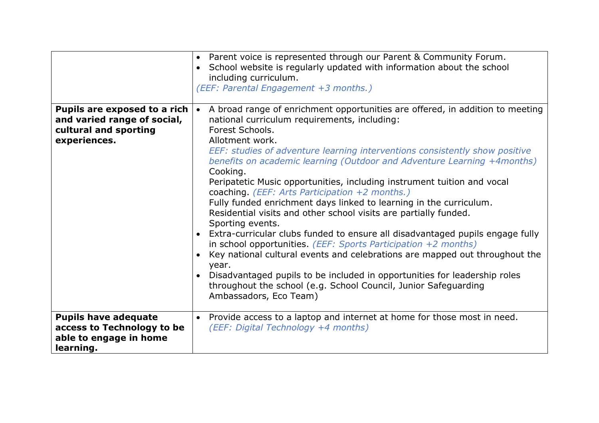|                                                                                                      | • Parent voice is represented through our Parent & Community Forum.<br>School website is regularly updated with information about the school<br>$\bullet$<br>including curriculum.<br>(EEF: Parental Engagement +3 months.)                                                                                                                                                                                                                                                                                                                                                                                                                                                                                                                                                                                                                                                                                                                                                                                                                                                                    |  |
|------------------------------------------------------------------------------------------------------|------------------------------------------------------------------------------------------------------------------------------------------------------------------------------------------------------------------------------------------------------------------------------------------------------------------------------------------------------------------------------------------------------------------------------------------------------------------------------------------------------------------------------------------------------------------------------------------------------------------------------------------------------------------------------------------------------------------------------------------------------------------------------------------------------------------------------------------------------------------------------------------------------------------------------------------------------------------------------------------------------------------------------------------------------------------------------------------------|--|
| Pupils are exposed to a rich<br>and varied range of social,<br>cultural and sporting<br>experiences. | A broad range of enrichment opportunities are offered, in addition to meeting<br>$\bullet$<br>national curriculum requirements, including:<br>Forest Schools.<br>Allotment work.<br>EEF: studies of adventure learning interventions consistently show positive<br>benefits on academic learning (Outdoor and Adventure Learning +4months)<br>Cooking.<br>Peripatetic Music opportunities, including instrument tuition and vocal<br>coaching. (EEF: Arts Participation +2 months.)<br>Fully funded enrichment days linked to learning in the curriculum.<br>Residential visits and other school visits are partially funded.<br>Sporting events.<br>• Extra-curricular clubs funded to ensure all disadvantaged pupils engage fully<br>in school opportunities. ( <i>EEF: Sports Participation <math>+2</math> months</i> )<br>Key national cultural events and celebrations are mapped out throughout the<br>year.<br>Disadvantaged pupils to be included in opportunities for leadership roles<br>throughout the school (e.g. School Council, Junior Safeguarding<br>Ambassadors, Eco Team) |  |
| <b>Pupils have adequate</b><br>access to Technology to be<br>able to engage in home<br>learning.     | Provide access to a laptop and internet at home for those most in need.<br>$\bullet$<br>(EEF: Digital Technology +4 months)                                                                                                                                                                                                                                                                                                                                                                                                                                                                                                                                                                                                                                                                                                                                                                                                                                                                                                                                                                    |  |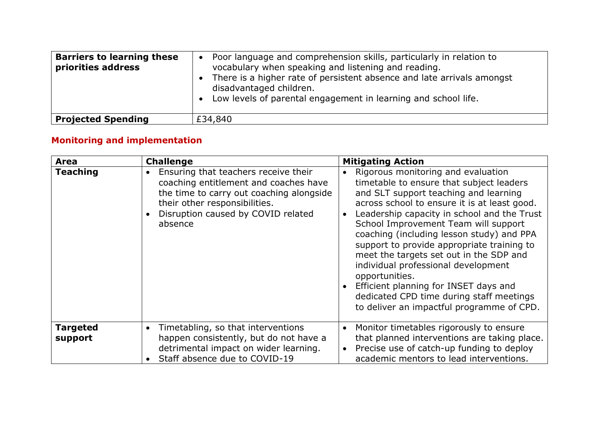| <b>Barriers to learning these</b><br>priorities address | Poor language and comprehension skills, particularly in relation to<br>$\bullet$<br>vocabulary when speaking and listening and reading.<br>There is a higher rate of persistent absence and late arrivals amongst<br>disadvantaged children.<br>Low levels of parental engagement in learning and school life.<br>$\bullet$ |
|---------------------------------------------------------|-----------------------------------------------------------------------------------------------------------------------------------------------------------------------------------------------------------------------------------------------------------------------------------------------------------------------------|
| <b>Projected Spending</b>                               | £34,840                                                                                                                                                                                                                                                                                                                     |

# **Monitoring and implementation**

| <b>Area</b>                | <b>Challenge</b>                                                                                                                                                                                                         | <b>Mitigating Action</b>                                                                                                                                                                                                                                                                                                                                                                                                                                                                                                                                                                                     |
|----------------------------|--------------------------------------------------------------------------------------------------------------------------------------------------------------------------------------------------------------------------|--------------------------------------------------------------------------------------------------------------------------------------------------------------------------------------------------------------------------------------------------------------------------------------------------------------------------------------------------------------------------------------------------------------------------------------------------------------------------------------------------------------------------------------------------------------------------------------------------------------|
| <b>Teaching</b>            | Ensuring that teachers receive their<br>$\bullet$<br>coaching entitlement and coaches have<br>the time to carry out coaching alongside<br>their other responsibilities.<br>Disruption caused by COVID related<br>absence | Rigorous monitoring and evaluation<br>$\bullet$<br>timetable to ensure that subject leaders<br>and SLT support teaching and learning<br>across school to ensure it is at least good.<br>Leadership capacity in school and the Trust<br>School Improvement Team will support<br>coaching (including lesson study) and PPA<br>support to provide appropriate training to<br>meet the targets set out in the SDP and<br>individual professional development<br>opportunities.<br>Efficient planning for INSET days and<br>dedicated CPD time during staff meetings<br>to deliver an impactful programme of CPD. |
| <b>Targeted</b><br>support | Timetabling, so that interventions<br>$\bullet$<br>happen consistently, but do not have a<br>detrimental impact on wider learning.<br>Staff absence due to COVID-19                                                      | Monitor timetables rigorously to ensure<br>that planned interventions are taking place.<br>Precise use of catch-up funding to deploy<br>academic mentors to lead interventions.                                                                                                                                                                                                                                                                                                                                                                                                                              |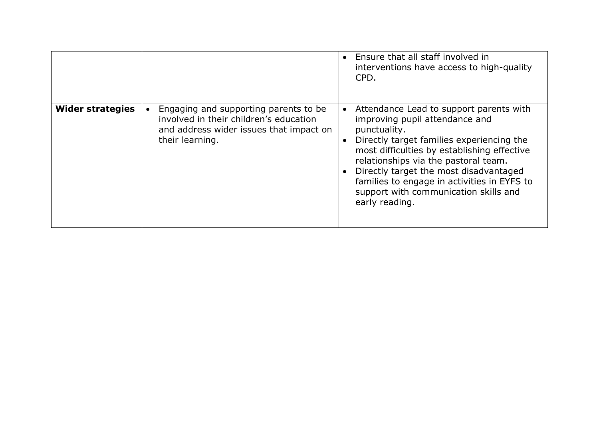|                         |                                                                                                                                               | • Ensure that all staff involved in<br>interventions have access to high-quality<br>CPD.                                                                                                                                                                                                                                                                                          |
|-------------------------|-----------------------------------------------------------------------------------------------------------------------------------------------|-----------------------------------------------------------------------------------------------------------------------------------------------------------------------------------------------------------------------------------------------------------------------------------------------------------------------------------------------------------------------------------|
| <b>Wider strategies</b> | Engaging and supporting parents to be<br>involved in their children's education<br>and address wider issues that impact on<br>their learning. | Attendance Lead to support parents with<br>improving pupil attendance and<br>punctuality.<br>Directly target families experiencing the<br>most difficulties by establishing effective<br>relationships via the pastoral team.<br>Directly target the most disadvantaged<br>families to engage in activities in EYFS to<br>support with communication skills and<br>early reading. |